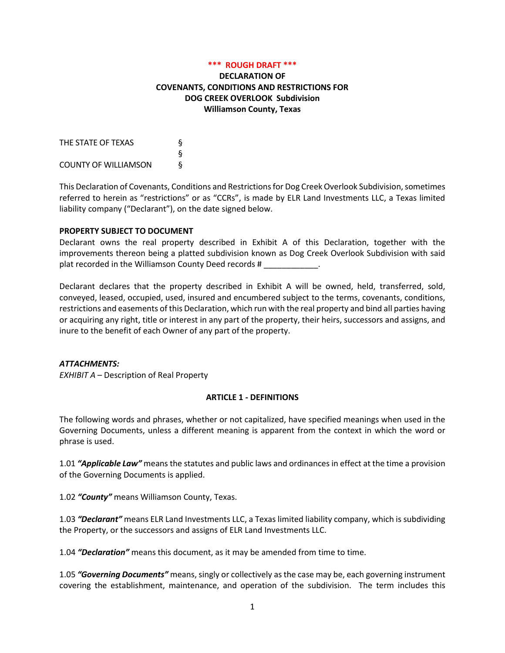#### **\*\*\* ROUGH DRAFT \*\*\***

### **DECLARATION OF COVENANTS, CONDITIONS AND RESTRICTIONS FOR DOG CREEK OVERLOOK Subdivision Williamson County, Texas**

THE STATE OF TEXAS § § COUNTY OF WILLIAMSON §

This Declaration of Covenants, Conditions and Restrictions for Dog Creek Overlook Subdivision, sometimes referred to herein as "restrictions" or as "CCRs", is made by ELR Land Investments LLC, a Texas limited liability company ("Declarant"), on the date signed below.

#### **PROPERTY SUBJECT TO DOCUMENT**

Declarant owns the real property described in Exhibit A of this Declaration, together with the improvements thereon being a platted subdivision known as Dog Creek Overlook Subdivision with said plat recorded in the Williamson County Deed records # \_\_\_\_\_\_\_\_\_\_\_\_.

Declarant declares that the property described in Exhibit A will be owned, held, transferred, sold, conveyed, leased, occupied, used, insured and encumbered subject to the terms, covenants, conditions, restrictions and easements of this Declaration, which run with the real property and bind all parties having or acquiring any right, title or interest in any part of the property, their heirs, successors and assigns, and inure to the benefit of each Owner of any part of the property.

#### *ATTACHMENTS:*

*EXHIBIT A* – Description of Real Property

#### **ARTICLE 1 - DEFINITIONS**

The following words and phrases, whether or not capitalized, have specified meanings when used in the Governing Documents, unless a different meaning is apparent from the context in which the word or phrase is used.

1.01 *"Applicable Law"* means the statutes and public laws and ordinances in effect at the time a provision of the Governing Documents is applied.

1.02 *"County"* means Williamson County, Texas.

1.03 *"Declarant"* means ELR Land Investments LLC, a Texas limited liability company, which is subdividing the Property, or the successors and assigns of ELR Land Investments LLC.

1.04 *"Declaration"* means this document, as it may be amended from time to time.

1.05 *"Governing Documents"* means, singly or collectively as the case may be, each governing instrument covering the establishment, maintenance, and operation of the subdivision. The term includes this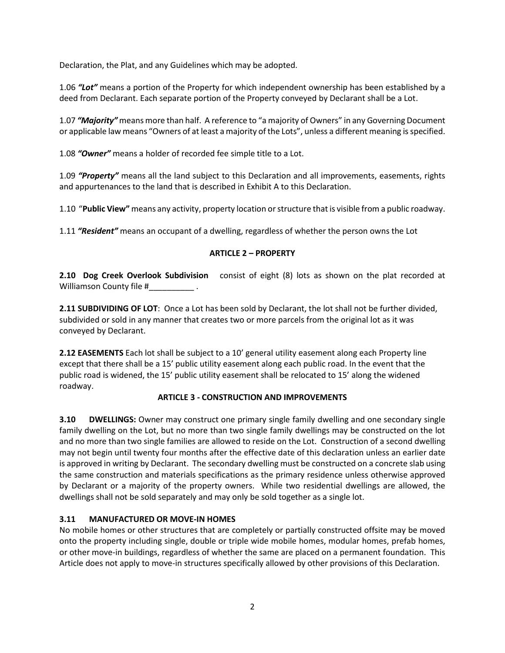Declaration, the Plat, and any Guidelines which may be adopted.

1.06 *"Lot"* means a portion of the Property for which independent ownership has been established by a deed from Declarant. Each separate portion of the Property conveyed by Declarant shall be a Lot.

1.07 *"Majority"* means more than half. A reference to "a majority of Owners" in any Governing Document or applicable law means "Owners of at least a majority of the Lots", unless a different meaning is specified.

1.08 *"Owner"* means a holder of recorded fee simple title to a Lot.

1.09 *"Property"* means all the land subject to this Declaration and all improvements, easements, rights and appurtenances to the land that is described in Exhibit A to this Declaration.

1.10 "**Public View"** means any activity, property location or structure that is visible from a public roadway.

1.11 *"Resident"* means an occupant of a dwelling, regardless of whether the person owns the Lot

### **ARTICLE 2 – PROPERTY**

**2.10 Dog Creek Overlook Subdivision** consist of eight (8) lots as shown on the plat recorded at Williamson County file #\_\_\_\_\_\_\_\_\_\_ .

**2.11 SUBDIVIDING OF LOT**: Once a Lot has been sold by Declarant, the lot shall not be further divided, subdivided or sold in any manner that creates two or more parcels from the original lot as it was conveyed by Declarant.

**2.12 EASEMENTS** Each lot shall be subject to a 10' general utility easement along each Property line except that there shall be a 15' public utility easement along each public road. In the event that the public road is widened, the 15' public utility easement shall be relocated to 15' along the widened roadway.

### **ARTICLE 3 - CONSTRUCTION AND IMPROVEMENTS**

**3.10 DWELLINGS:** Owner may construct one primary single family dwelling and one secondary single family dwelling on the Lot, but no more than two single family dwellings may be constructed on the lot and no more than two single families are allowed to reside on the Lot. Construction of a second dwelling may not begin until twenty four months after the effective date of this declaration unless an earlier date is approved in writing by Declarant. The secondary dwelling must be constructed on a concrete slab using the same construction and materials specifications as the primary residence unless otherwise approved by Declarant or a majority of the property owners. While two residential dwellings are allowed, the dwellings shall not be sold separately and may only be sold together as a single lot.

# **3.11 MANUFACTURED OR MOVE-IN HOMES**

No mobile homes or other structures that are completely or partially constructed offsite may be moved onto the property including single, double or triple wide mobile homes, modular homes, prefab homes, or other move-in buildings, regardless of whether the same are placed on a permanent foundation. This Article does not apply to move-in structures specifically allowed by other provisions of this Declaration.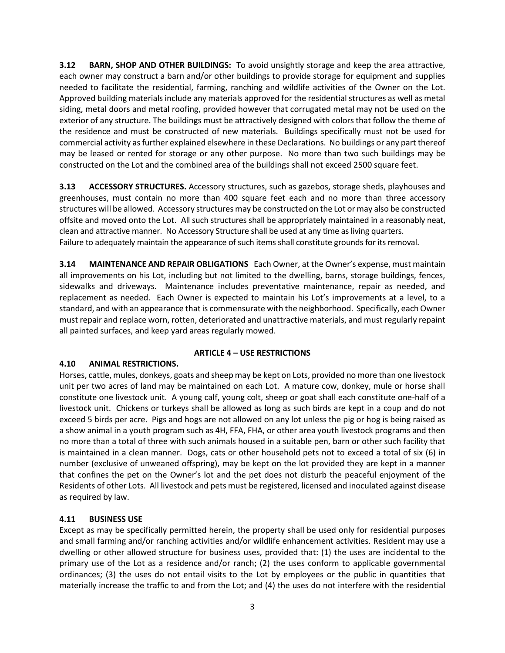**3.12 BARN, SHOP AND OTHER BUILDINGS:** To avoid unsightly storage and keep the area attractive, each owner may construct a barn and/or other buildings to provide storage for equipment and supplies needed to facilitate the residential, farming, ranching and wildlife activities of the Owner on the Lot. Approved building materials include any materials approved for the residential structures as well as metal siding, metal doors and metal roofing, provided however that corrugated metal may not be used on the exterior of any structure. The buildings must be attractively designed with colors that follow the theme of the residence and must be constructed of new materials. Buildings specifically must not be used for commercial activity as further explained elsewhere in these Declarations. No buildings or any part thereof may be leased or rented for storage or any other purpose. No more than two such buildings may be constructed on the Lot and the combined area of the buildings shall not exceed 2500 square feet.

**3.13 ACCESSORY STRUCTURES.** Accessory structures, such as gazebos, storage sheds, playhouses and greenhouses, must contain no more than 400 square feet each and no more than three accessory structures will be allowed. Accessory structures may be constructed on the Lot or may also be constructed offsite and moved onto the Lot. All such structures shall be appropriately maintained in a reasonably neat, clean and attractive manner. No Accessory Structure shall be used at any time as living quarters. Failure to adequately maintain the appearance of such items shall constitute grounds for its removal.

**3.14 MAINTENANCE AND REPAIR OBLIGATIONS** Each Owner, at the Owner's expense, must maintain all improvements on his Lot, including but not limited to the dwelling, barns, storage buildings, fences, sidewalks and driveways. Maintenance includes preventative maintenance, repair as needed, and replacement as needed. Each Owner is expected to maintain his Lot's improvements at a level, to a standard, and with an appearance that is commensurate with the neighborhood. Specifically, each Owner must repair and replace worn, rotten, deteriorated and unattractive materials, and must regularly repaint all painted surfaces, and keep yard areas regularly mowed.

### **ARTICLE 4 – USE RESTRICTIONS**

# **4.10 ANIMAL RESTRICTIONS.**

Horses, cattle, mules, donkeys, goats and sheep may be kept on Lots, provided no more than one livestock unit per two acres of land may be maintained on each Lot. A mature cow, donkey, mule or horse shall constitute one livestock unit. A young calf, young colt, sheep or goat shall each constitute one-half of a livestock unit. Chickens or turkeys shall be allowed as long as such birds are kept in a coup and do not exceed 5 birds per acre. Pigs and hogs are not allowed on any lot unless the pig or hog is being raised as a show animal in a youth program such as 4H, FFA, FHA, or other area youth livestock programs and then no more than a total of three with such animals housed in a suitable pen, barn or other such facility that is maintained in a clean manner. Dogs, cats or other household pets not to exceed a total of six (6) in number (exclusive of unweaned offspring), may be kept on the lot provided they are kept in a manner that confines the pet on the Owner's lot and the pet does not disturb the peaceful enjoyment of the Residents of other Lots. All livestock and pets must be registered, licensed and inoculated against disease as required by law.

# **4.11 BUSINESS USE**

Except as may be specifically permitted herein, the property shall be used only for residential purposes and small farming and/or ranching activities and/or wildlife enhancement activities. Resident may use a dwelling or other allowed structure for business uses, provided that: (1) the uses are incidental to the primary use of the Lot as a residence and/or ranch; (2) the uses conform to applicable governmental ordinances; (3) the uses do not entail visits to the Lot by employees or the public in quantities that materially increase the traffic to and from the Lot; and (4) the uses do not interfere with the residential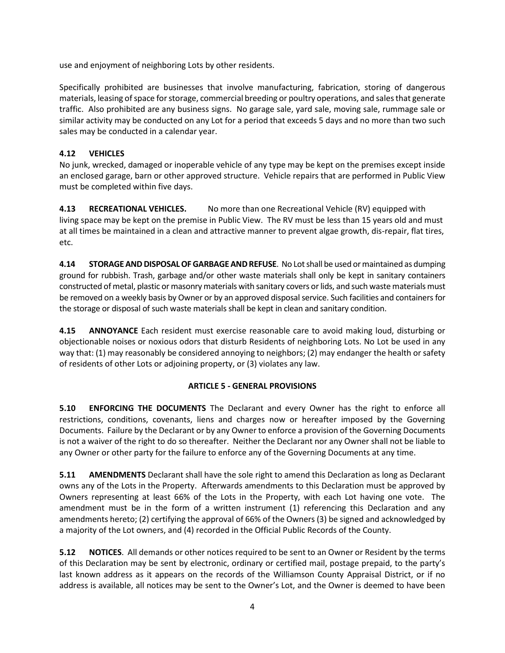use and enjoyment of neighboring Lots by other residents.

Specifically prohibited are businesses that involve manufacturing, fabrication, storing of dangerous materials, leasing of space for storage, commercial breeding or poultry operations, and sales that generate traffic. Also prohibited are any business signs. No garage sale, yard sale, moving sale, rummage sale or similar activity may be conducted on any Lot for a period that exceeds 5 days and no more than two such sales may be conducted in a calendar year.

# **4.12 VEHICLES**

No junk, wrecked, damaged or inoperable vehicle of any type may be kept on the premises except inside an enclosed garage, barn or other approved structure. Vehicle repairs that are performed in Public View must be completed within five days.

**4.13 RECREATIONAL VEHICLES.** No more than one Recreational Vehicle (RV) equipped with living space may be kept on the premise in Public View. The RV must be less than 15 years old and must at all times be maintained in a clean and attractive manner to prevent algae growth, dis-repair, flat tires, etc.

**4.14 STORAGE AND DISPOSALOF GARBAGE AND REFUSE**. No Lot shall be used or maintained as dumping ground for rubbish. Trash, garbage and/or other waste materials shall only be kept in sanitary containers constructed of metal, plastic or masonry materials with sanitary covers or lids, and such waste materials must be removed on a weekly basis by Owner or by an approved disposal service. Such facilities and containers for the storage or disposal of such waste materials shall be kept in clean and sanitary condition.

**4.15 ANNOYANCE** Each resident must exercise reasonable care to avoid making loud, disturbing or objectionable noises or noxious odors that disturb Residents of neighboring Lots. No Lot be used in any way that: (1) may reasonably be considered annoying to neighbors; (2) may endanger the health or safety of residents of other Lots or adjoining property, or (3) violates any law.

# **ARTICLE 5 - GENERAL PROVISIONS**

**5.10 ENFORCING THE DOCUMENTS** The Declarant and every Owner has the right to enforce all restrictions, conditions, covenants, liens and charges now or hereafter imposed by the Governing Documents. Failure by the Declarant or by any Owner to enforce a provision of the Governing Documents is not a waiver of the right to do so thereafter. Neither the Declarant nor any Owner shall not be liable to any Owner or other party for the failure to enforce any of the Governing Documents at any time.

**5.11 AMENDMENTS** Declarant shall have the sole right to amend this Declaration as long as Declarant owns any of the Lots in the Property. Afterwards amendments to this Declaration must be approved by Owners representing at least 66% of the Lots in the Property, with each Lot having one vote. The amendment must be in the form of a written instrument (1) referencing this Declaration and any amendments hereto; (2) certifying the approval of 66% of the Owners (3) be signed and acknowledged by a majority of the Lot owners, and (4) recorded in the Official Public Records of the County.

**5.12 NOTICES**. All demands or other notices required to be sent to an Owner or Resident by the terms of this Declaration may be sent by electronic, ordinary or certified mail, postage prepaid, to the party's last known address as it appears on the records of the Williamson County Appraisal District, or if no address is available, all notices may be sent to the Owner's Lot, and the Owner is deemed to have been